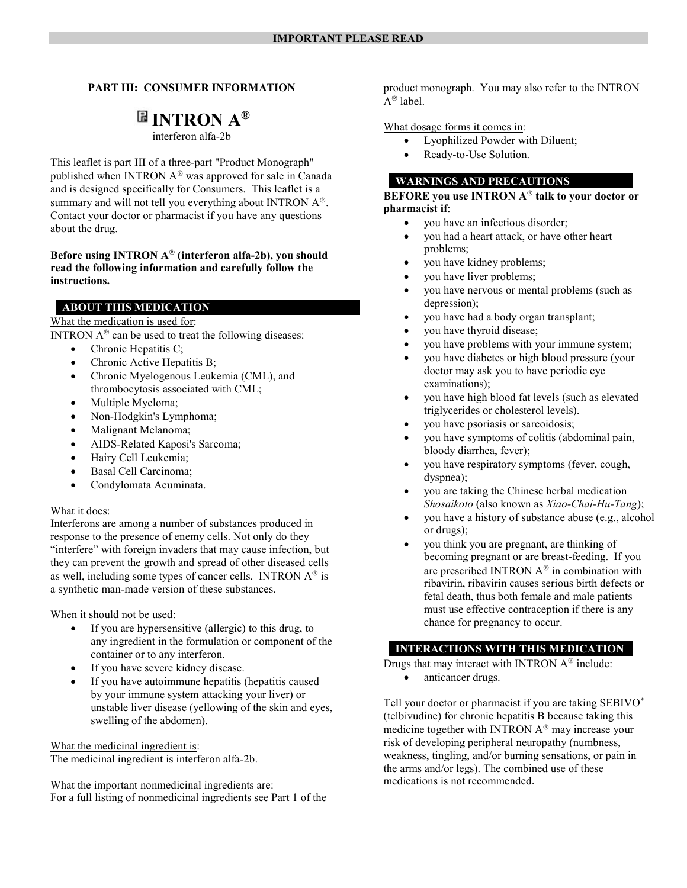### PART III: CONSUMER INFORMATION

# $\mathbb B$  INTRON  $A^\circledR$

interferon alfa-2b

This leaflet is part III of a three-part "Product Monograph" published when INTRON  $A^{\circledast}$  was approved for sale in Canada and is designed specifically for Consumers. This leaflet is a summary and will not tell you everything about INTRON  $A^{\circledast}$ . Contact your doctor or pharmacist if you have any questions about the drug.

### Before using INTRON  $A^{\otimes}$  (interferon alfa-2b), you should read the following information and carefully follow the instructions.

### ABOUT THIS MEDICATION

### What the medication is used for:

INTRON  $A^{\circledR}$  can be used to treat the following diseases:

- Chronic Hepatitis C;
- Chronic Active Hepatitis B;
- Chronic Myelogenous Leukemia (CML), and thrombocytosis associated with CML;
- Multiple Myeloma;
- Non-Hodgkin's Lymphoma;
- Malignant Melanoma;
- AIDS-Related Kaposi's Sarcoma;
- Hairy Cell Leukemia;
- Basal Cell Carcinoma;
- Condylomata Acuminata.

### What it does:

Interferons are among a number of substances produced in response to the presence of enemy cells. Not only do they "interfere" with foreign invaders that may cause infection, but they can prevent the growth and spread of other diseased cells as well, including some types of cancer cells. INTRON  $A^{\circledast}$  is a synthetic man-made version of these substances.

When it should not be used:

- If you are hypersensitive (allergic) to this drug, to any ingredient in the formulation or component of the container or to any interferon.
- If you have severe kidney disease.
- If you have autoimmune hepatitis (hepatitis caused by your immune system attacking your liver) or unstable liver disease (yellowing of the skin and eyes, swelling of the abdomen).

What the medicinal ingredient is:

The medicinal ingredient is interferon alfa-2b.

What the important nonmedicinal ingredients are:

For a full listing of nonmedicinal ingredients see Part 1 of the

product monograph. You may also refer to the INTRON  $A^{\circledR}$  label.

### What dosage forms it comes in:

- Lyophilized Powder with Diluent;
- Ready-to-Use Solution.
- WARNINGS AND PRECAUTIONS

BEFORE you use INTRON  $A^{\otimes}$  talk to your doctor or pharmacist if:

- you have an infectious disorder;
- you had a heart attack, or have other heart problems;
- you have kidney problems;
- you have liver problems;
- you have nervous or mental problems (such as depression);
- you have had a body organ transplant;
- you have thyroid disease;
- you have problems with your immune system;
- you have diabetes or high blood pressure (your doctor may ask you to have periodic eye examinations);
- you have high blood fat levels (such as elevated triglycerides or cholesterol levels).
- you have psoriasis or sarcoidosis;
- you have symptoms of colitis (abdominal pain, bloody diarrhea, fever);
- you have respiratory symptoms (fever, cough, dyspnea);
- you are taking the Chinese herbal medication Shosaikoto (also known as Xiao-Chai-Hu-Tang);
- you have a history of substance abuse (e.g., alcohol or drugs);
- you think you are pregnant, are thinking of becoming pregnant or are breast-feeding. If you are prescribed INTRON  $A^{\otimes}$  in combination with ribavirin, ribavirin causes serious birth defects or fetal death, thus both female and male patients must use effective contraception if there is any chance for pregnancy to occur.

### INTERACTIONS WITH THIS MEDICATION

Drugs that may interact with INTRON  $A^{\circledast}$  include: anticancer drugs.

Tell your doctor or pharmacist if you are taking SEBIVO\* (telbivudine) for chronic hepatitis B because taking this medicine together with INTRON  $A^{\circledR}$  may increase your risk of developing peripheral neuropathy (numbness, weakness, tingling, and/or burning sensations, or pain in the arms and/or legs). The combined use of these medications is not recommended.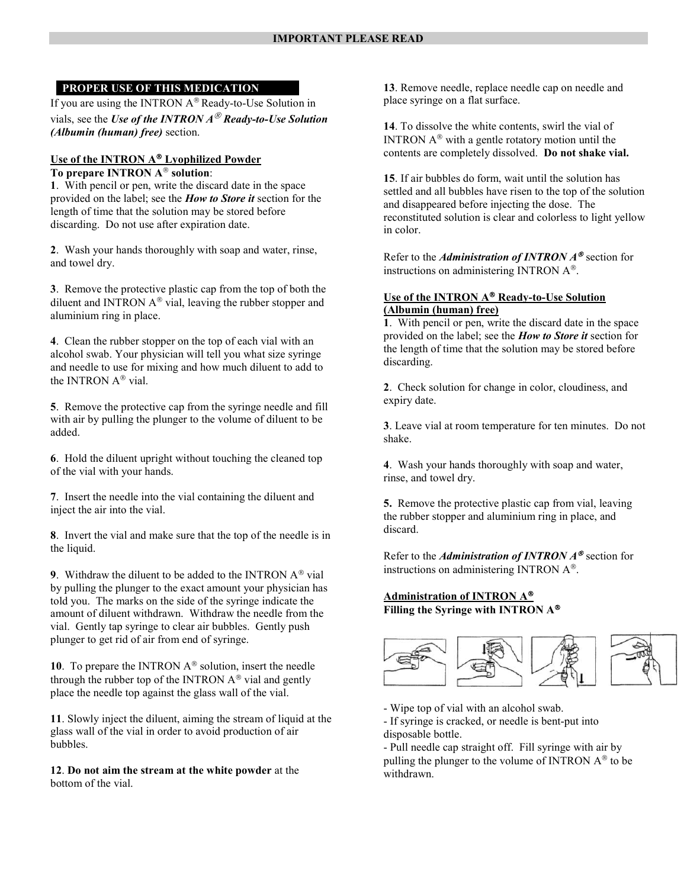### PROPER USE OF THIS MEDICATION

If you are using the INTRON  $A^{\circledast}$  Ready-to-Use Solution in vials, see the Use of the INTRON  $A^{\textcircled{\tiny{\textcirc}}}$  Ready-to-Use Solution (Albumin (human) free) section.

# Use of the INTRON A® Lyophilized Powder

# To prepare INTRON  $A^{\circledR}$  solution:

1. With pencil or pen, write the discard date in the space provided on the label; see the *How to Store it* section for the length of time that the solution may be stored before discarding. Do not use after expiration date.

2. Wash your hands thoroughly with soap and water, rinse, and towel dry.

3. Remove the protective plastic cap from the top of both the diluent and INTRON  $A^{\circledast}$  vial, leaving the rubber stopper and aluminium ring in place.

4. Clean the rubber stopper on the top of each vial with an alcohol swab. Your physician will tell you what size syringe and needle to use for mixing and how much diluent to add to the INTRON  $A^{\otimes}$  vial.

5. Remove the protective cap from the syringe needle and fill with air by pulling the plunger to the volume of diluent to be added.

6. Hold the diluent upright without touching the cleaned top of the vial with your hands.

7. Insert the needle into the vial containing the diluent and inject the air into the vial.

8. Invert the vial and make sure that the top of the needle is in the liquid.

9. Withdraw the diluent to be added to the INTRON  $A^{\circledR}$  vial by pulling the plunger to the exact amount your physician has told you. The marks on the side of the syringe indicate the amount of diluent withdrawn. Withdraw the needle from the vial. Gently tap syringe to clear air bubbles. Gently push plunger to get rid of air from end of syringe.

10. To prepare the INTRON  $A^{\circledast}$  solution, insert the needle through the rubber top of the INTRON  $A^{\circledast}$  vial and gently place the needle top against the glass wall of the vial.

11. Slowly inject the diluent, aiming the stream of liquid at the glass wall of the vial in order to avoid production of air bubbles.

12. Do not aim the stream at the white powder at the bottom of the vial.

13. Remove needle, replace needle cap on needle and place syringe on a flat surface.

14. To dissolve the white contents, swirl the vial of INTRON  $A^{\circledast}$  with a gentle rotatory motion until the contents are completely dissolved. Do not shake vial.

15. If air bubbles do form, wait until the solution has settled and all bubbles have risen to the top of the solution and disappeared before injecting the dose. The reconstituted solution is clear and colorless to light yellow in color.

Refer to the *Administration of INTRON*  $A^{\mathcal{D}}$  section for instructions on administering INTRON  $A^{\otimes}$ .

### Use of the INTRON A<sup>®</sup> Ready-to-Use Solution (Albumin (human) free)

1. With pencil or pen, write the discard date in the space provided on the label; see the How to Store it section for the length of time that the solution may be stored before discarding.

2. Check solution for change in color, cloudiness, and expiry date.

3. Leave vial at room temperature for ten minutes. Do not shake.

4. Wash your hands thoroughly with soap and water, rinse, and towel dry.

5. Remove the protective plastic cap from vial, leaving the rubber stopper and aluminium ring in place, and discard.

Refer to the *Administration of INTRON*  $A^{\circledast}$  section for instructions on administering INTRON  $A^{\otimes}$ .

# Administration of INTRON A<sup>®</sup> Filling the Syringe with INTRON A



- Wipe top of vial with an alcohol swab. - If syringe is cracked, or needle is bent-put into disposable bottle.

- Pull needle cap straight off. Fill syringe with air by pulling the plunger to the volume of INTRON  $A^{\circledR}$  to be withdrawn.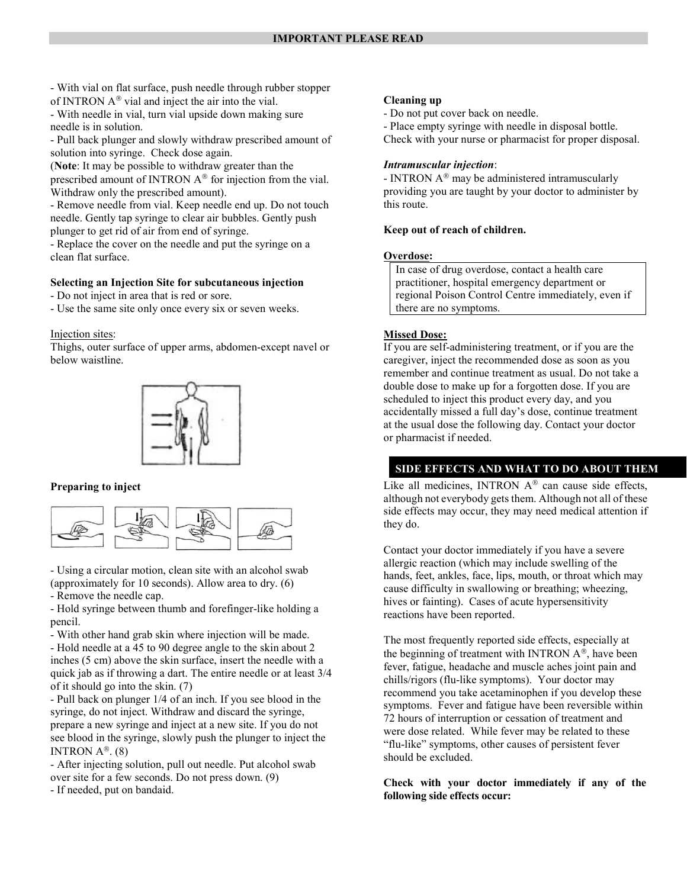- With vial on flat surface, push needle through rubber stopper of INTRON  $A^{\circledast}$  vial and inject the air into the vial.

- With needle in vial, turn vial upside down making sure needle is in solution.

- Pull back plunger and slowly withdraw prescribed amount of solution into syringe. Check dose again.

(Note: It may be possible to withdraw greater than the

prescribed amount of INTRON  $A^{\circledast}$  for injection from the vial. Withdraw only the prescribed amount).

- Remove needle from vial. Keep needle end up. Do not touch needle. Gently tap syringe to clear air bubbles. Gently push plunger to get rid of air from end of syringe.

- Replace the cover on the needle and put the syringe on a clean flat surface.

### Selecting an Injection Site for subcutaneous injection

- Do not inject in area that is red or sore.

- Use the same site only once every six or seven weeks.

Injection sites:

Thighs, outer surface of upper arms, abdomen-except navel or below waistline.



### Preparing to inject



- Using a circular motion, clean site with an alcohol swab (approximately for 10 seconds). Allow area to dry. (6)

- Remove the needle cap.

- Hold syringe between thumb and forefinger-like holding a pencil.

- With other hand grab skin where injection will be made. - Hold needle at a 45 to 90 degree angle to the skin about 2 inches (5 cm) above the skin surface, insert the needle with a quick jab as if throwing a dart. The entire needle or at least 3/4 of it should go into the skin. (7)

- Pull back on plunger 1/4 of an inch. If you see blood in the syringe, do not inject. Withdraw and discard the syringe, prepare a new syringe and inject at a new site. If you do not see blood in the syringe, slowly push the plunger to inject the INTRON  $A^{\circledR}$ . (8)

- After injecting solution, pull out needle. Put alcohol swab over site for a few seconds. Do not press down. (9) - If needed, put on bandaid.

#### Cleaning up

- Do not put cover back on needle.

- Place empty syringe with needle in disposal bottle.

Check with your nurse or pharmacist for proper disposal.

### Intramuscular injection:

- INTRON  $A^{\circledast}$  may be administered intramuscularly providing you are taught by your doctor to administer by this route.

#### Keep out of reach of children.

#### Overdose:

In case of drug overdose, contact a health care practitioner, hospital emergency department or regional Poison Control Centre immediately, even if there are no symptoms.

#### Missed Dose:

If you are self-administering treatment, or if you are the caregiver, inject the recommended dose as soon as you remember and continue treatment as usual. Do not take a double dose to make up for a forgotten dose. If you are scheduled to inject this product every day, and you accidentally missed a full day's dose, continue treatment at the usual dose the following day. Contact your doctor or pharmacist if needed.

### SIDE EFFECTS AND WHAT TO DO ABOUT THEM

Like all medicines, INTRON  $A^{\circledast}$  can cause side effects, although not everybody gets them. Although not all of these side effects may occur, they may need medical attention if they do.

Contact your doctor immediately if you have a severe allergic reaction (which may include swelling of the hands, feet, ankles, face, lips, mouth, or throat which may cause difficulty in swallowing or breathing; wheezing, hives or fainting). Cases of acute hypersensitivity reactions have been reported.

The most frequently reported side effects, especially at the beginning of treatment with INTRON  $A^{\circledast}$ , have been fever, fatigue, headache and muscle aches joint pain and chills/rigors (flu-like symptoms). Your doctor may recommend you take acetaminophen if you develop these symptoms. Fever and fatigue have been reversible within 72 hours of interruption or cessation of treatment and were dose related. While fever may be related to these "flu-like" symptoms, other causes of persistent fever should be excluded.

Check with your doctor immediately if any of the following side effects occur: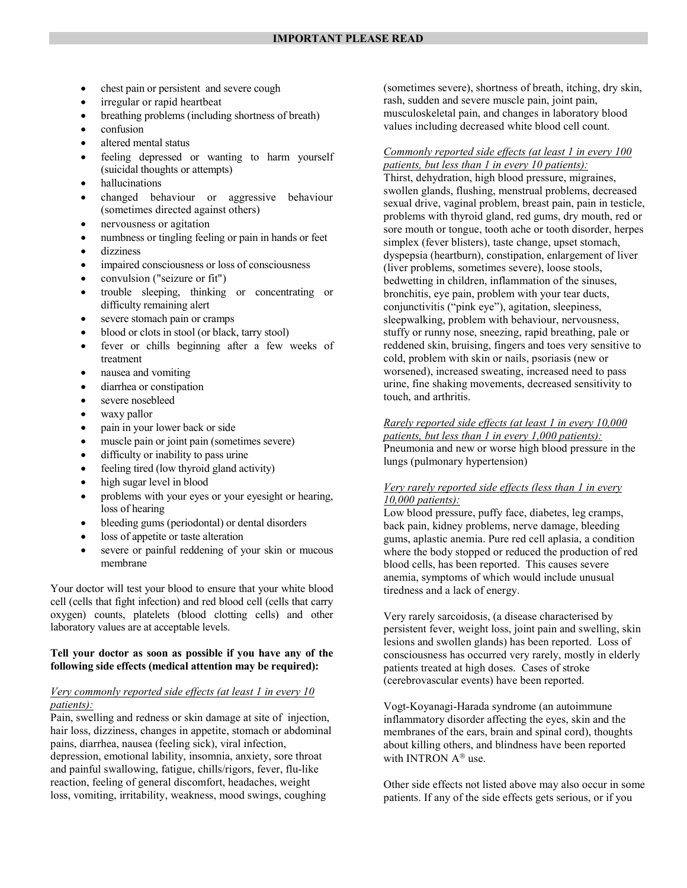- chest pain or persistent and severe cough
- irregular or rapid heartbeat
- breathing problems (including shortness of breath)
- confusion
- altered mental status
- feeling depressed or wanting to harm yourself (suicidal thoughts or attempts)
- hallucinations
- changed behaviour or aggressive behaviour (sometimes directed against others)
- nervousness or agitation
- numbness or tingling feeling or pain in hands or feet
- dizziness
- impaired consciousness or loss of consciousness
- convulsion ("seizure or fit")
- trouble sleeping, thinking or concentrating or difficulty remaining alert
- severe stomach pain or cramps
- blood or clots in stool (or black, tarry stool)
- fever or chills beginning after a few weeks of treatment
- nausea and vomiting
- diarrhea or constipation
- severe nosebleed
- waxy pallor
- pain in your lower back or side
- muscle pain or joint pain (sometimes severe)
- difficulty or inability to pass urine
- feeling tired (low thyroid gland activity)
- high sugar level in blood
- problems with your eyes or your eyesight or hearing, loss of hearing
- bleeding gums (periodontal) or dental disorders
- loss of appetite or taste alteration
- severe or painful reddening of your skin or mucous membrane

Your doctor will test your blood to ensure that your white blood cell (cells that fight infection) and red blood cell (cells that carry oxygen) counts, platelets (blood clotting cells) and other laboratory values are at acceptable levels.

#### Tell your doctor as soon as possible if you have any of the following side effects (medical attention may be required):

### Very commonly reported side effects (at least 1 in every 10 patients):

Pain, swelling and redness or skin damage at site of injection, hair loss, dizziness, changes in appetite, stomach or abdominal pains, diarrhea, nausea (feeling sick), viral infection, depression, emotional lability, insomnia, anxiety, sore throat and painful swallowing, fatigue, chills/rigors, fever, flu-like reaction, feeling of general discomfort, headaches, weight loss, vomiting, irritability, weakness, mood swings, coughing

(sometimes severe), shortness of breath, itching, dry skin, rash, sudden and severe muscle pain, joint pain, musculoskeletal pain, and changes in laboratory blood values including decreased white blood cell count.

#### Commonly reported side effects (at least 1 in every 100 patients, but less than  $1$  in every  $10$  patients):

Thirst, dehydration, high blood pressure, migraines, swollen glands, flushing, menstrual problems, decreased sexual drive, vaginal problem, breast pain, pain in testicle, problems with thyroid gland, red gums, dry mouth, red or sore mouth or tongue, tooth ache or tooth disorder, herpes simplex (fever blisters), taste change, upset stomach, dyspepsia (heartburn), constipation, enlargement of liver (liver problems, sometimes severe), loose stools, bedwetting in children, inflammation of the sinuses, bronchitis, eye pain, problem with your tear ducts, conjunctivitis ("pink eye"), agitation, sleepiness, sleepwalking, problem with behaviour, nervousness, stuffy or runny nose, sneezing, rapid breathing, pale or reddened skin, bruising, fingers and toes very sensitive to cold, problem with skin or nails, psoriasis (new or worsened), increased sweating, increased need to pass urine, fine shaking movements, decreased sensitivity to touch, and arthritis.

#### Rarely reported side effects (at least 1 in every 10,000 patients, but less than  $I$  in every  $I,000$  patients):

Pneumonia and new or worse high blood pressure in the lungs (pulmonary hypertension)

#### Very rarely reported side effects (less than 1 in every 10,000 patients):

Low blood pressure, puffy face, diabetes, leg cramps, back pain, kidney problems, nerve damage, bleeding gums, aplastic anemia. Pure red cell aplasia, a condition where the body stopped or reduced the production of red blood cells, has been reported. This causes severe anemia, symptoms of which would include unusual tiredness and a lack of energy.

Very rarely sarcoidosis, (a disease characterised by persistent fever, weight loss, joint pain and swelling, skin lesions and swollen glands) has been reported. Loss of consciousness has occurred very rarely, mostly in elderly patients treated at high doses. Cases of stroke (cerebrovascular events) have been reported.

Vogt-Koyanagi-Harada syndrome (an autoimmune inflammatory disorder affecting the eyes, skin and the membranes of the ears, brain and spinal cord), thoughts about killing others, and blindness have been reported with INTRON  $A^{\circledR}$  use.

Other side effects not listed above may also occur in some patients. If any of the side effects gets serious, or if you